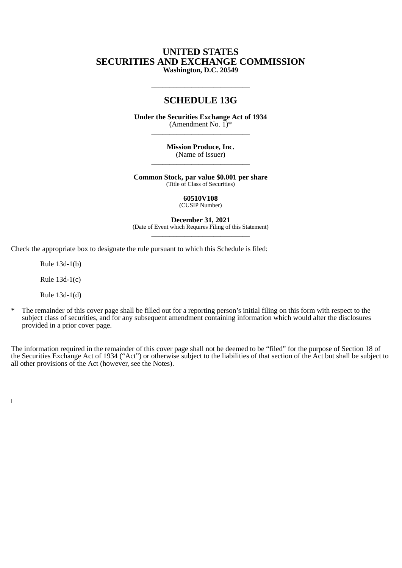## **UNITED STATES SECURITIES AND EXCHANGE COMMISSION Washington, D.C. 20549**

# **SCHEDULE 13G**

\_\_\_\_\_\_\_\_\_\_\_\_\_\_\_\_\_\_\_\_\_\_\_\_\_\_\_

**Under the Securities Exchange Act of 1934** (Amendment No.  $\check{1})^*$  $\frac{1}{2}$  ,  $\frac{1}{2}$  ,  $\frac{1}{2}$  ,  $\frac{1}{2}$  ,  $\frac{1}{2}$  ,  $\frac{1}{2}$  ,  $\frac{1}{2}$  ,  $\frac{1}{2}$  ,  $\frac{1}{2}$  ,  $\frac{1}{2}$  ,  $\frac{1}{2}$  ,  $\frac{1}{2}$  ,  $\frac{1}{2}$  ,  $\frac{1}{2}$  ,  $\frac{1}{2}$  ,  $\frac{1}{2}$  ,  $\frac{1}{2}$  ,  $\frac{1}{2}$  ,  $\frac{1$ 

> **Mission Produce, Inc.** (Name of Issuer)  $\frac{1}{2}$  ,  $\frac{1}{2}$  ,  $\frac{1}{2}$  ,  $\frac{1}{2}$  ,  $\frac{1}{2}$  ,  $\frac{1}{2}$  ,  $\frac{1}{2}$  ,  $\frac{1}{2}$  ,  $\frac{1}{2}$  ,  $\frac{1}{2}$  ,  $\frac{1}{2}$  ,  $\frac{1}{2}$  ,  $\frac{1}{2}$  ,  $\frac{1}{2}$  ,  $\frac{1}{2}$  ,  $\frac{1}{2}$  ,  $\frac{1}{2}$  ,  $\frac{1}{2}$  ,  $\frac{1$

**Common Stock, par value \$0.001 per share** (Title of Class of Securities)

> **60510V108** (CUSIP Number)

**December 31, 2021** (Date of Event which Requires Filing of this Statement) \_\_\_\_\_\_\_\_\_\_\_\_\_\_\_\_\_\_\_\_\_\_\_\_\_\_\_

Check the appropriate box to designate the rule pursuant to which this Schedule is filed:

Rule 13d-1(b)

Rule 13d-1(c)

Rule 13d-1(d)

 $\overline{1}$ 

\* The remainder of this cover page shall be filled out for a reporting person's initial filing on this form with respect to the subject class of securities, and for any subsequent amendment containing information which would alter the disclosures provided in a prior cover page.

The information required in the remainder of this cover page shall not be deemed to be "filed" for the purpose of Section 18 of the Securities Exchange Act of 1934 ("Act") or otherwise subject to the liabilities of that section of the Act but shall be subject to all other provisions of the Act (however, see the Notes).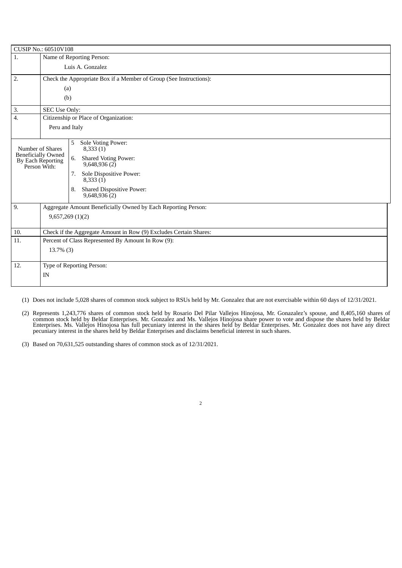| CUSIP No.: 60510V108                                                               |                                                                    |                                                                                                                                                                                                 |  |  |  |
|------------------------------------------------------------------------------------|--------------------------------------------------------------------|-------------------------------------------------------------------------------------------------------------------------------------------------------------------------------------------------|--|--|--|
| 1.                                                                                 | Name of Reporting Person:                                          |                                                                                                                                                                                                 |  |  |  |
|                                                                                    | Luis A. Gonzalez                                                   |                                                                                                                                                                                                 |  |  |  |
| 2.                                                                                 | Check the Appropriate Box if a Member of Group (See Instructions): |                                                                                                                                                                                                 |  |  |  |
|                                                                                    | (a)                                                                |                                                                                                                                                                                                 |  |  |  |
|                                                                                    | (b)                                                                |                                                                                                                                                                                                 |  |  |  |
| 3.                                                                                 | SEC Use Only:                                                      |                                                                                                                                                                                                 |  |  |  |
| 4.                                                                                 |                                                                    | Citizenship or Place of Organization:                                                                                                                                                           |  |  |  |
|                                                                                    |                                                                    | Peru and Italy                                                                                                                                                                                  |  |  |  |
| Number of Shares<br><b>Beneficially Owned</b><br>By Each Reporting<br>Person With: |                                                                    | Sole Voting Power:<br>5<br>8,333(1)<br>6.<br><b>Shared Voting Power:</b><br>9,648,936(2)<br>Sole Dispositive Power:<br>7.<br>8,333(1)<br><b>Shared Dispositive Power:</b><br>8.<br>9,648,936(2) |  |  |  |
| 9.                                                                                 |                                                                    | Aggregate Amount Beneficially Owned by Each Reporting Person:                                                                                                                                   |  |  |  |
|                                                                                    | 9,657,269(1)(2)                                                    |                                                                                                                                                                                                 |  |  |  |
| 10.                                                                                |                                                                    | Check if the Aggregate Amount in Row (9) Excludes Certain Shares:                                                                                                                               |  |  |  |
| 11.                                                                                | Percent of Class Represented By Amount In Row (9):                 |                                                                                                                                                                                                 |  |  |  |
| $13.7\%$ (3)                                                                       |                                                                    |                                                                                                                                                                                                 |  |  |  |
|                                                                                    |                                                                    |                                                                                                                                                                                                 |  |  |  |
| 12.                                                                                | Type of Reporting Person:                                          |                                                                                                                                                                                                 |  |  |  |
|                                                                                    | IN                                                                 |                                                                                                                                                                                                 |  |  |  |
|                                                                                    |                                                                    |                                                                                                                                                                                                 |  |  |  |

(1) Does not include 5,028 shares of common stock subject to RSUs held by Mr. Gonzalez that are not exercisable within 60 days of 12/31/2021.

(2) Represents 1,243,776 shares of common stock held by Rosario Del Pilar Vallejos Hinojosa, Mr. Gonazalez's spouse, and 8,405,160 shares of common stock held by Beldar Enterprises. Mr. Gonzalez and Ms. Vallejos Hinojosa share power to vote and dispose the shares held by Beldar Enterprises. Ms. Vallejos Hinojosa has full pecuniary interest in the shares held by Beldar Enterprises. Mr. Gonzalez does not have any direct pecuniary interest in the shares held by Beldar Enterprises and disclaims beneficial interest in such shares.

(3) Based on 70,631,525 outstanding shares of common stock as of 12/31/2021.

2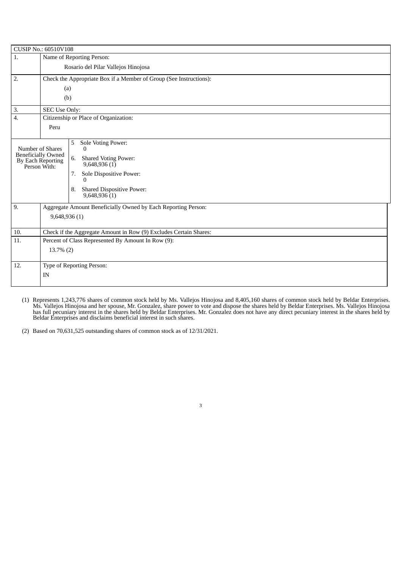| CUSIP No.: 60510V108                                      |                                                                    |                                                                   |  |  |  |
|-----------------------------------------------------------|--------------------------------------------------------------------|-------------------------------------------------------------------|--|--|--|
| 1.                                                        | Name of Reporting Person:                                          |                                                                   |  |  |  |
|                                                           | Rosario del Pilar Vallejos Hinojosa                                |                                                                   |  |  |  |
| 2.                                                        | Check the Appropriate Box if a Member of Group (See Instructions): |                                                                   |  |  |  |
|                                                           | (a)                                                                |                                                                   |  |  |  |
|                                                           | (b)                                                                |                                                                   |  |  |  |
| 3.                                                        | SEC Use Only:                                                      |                                                                   |  |  |  |
| 4.                                                        | Citizenship or Place of Organization:                              |                                                                   |  |  |  |
|                                                           | Peru                                                               |                                                                   |  |  |  |
|                                                           |                                                                    |                                                                   |  |  |  |
|                                                           |                                                                    | Sole Voting Power:<br>5<br>$\mathbf{0}$                           |  |  |  |
| <b>Beneficially Owned</b>                                 | Number of Shares                                                   |                                                                   |  |  |  |
| By Each Reporting<br>Person With:                         |                                                                    | 6.<br><b>Shared Voting Power:</b><br>9,648,936(1)                 |  |  |  |
|                                                           |                                                                    | Sole Dispositive Power:<br>7.                                     |  |  |  |
|                                                           |                                                                    | 0                                                                 |  |  |  |
|                                                           |                                                                    | <b>Shared Dispositive Power:</b><br>8.<br>9,648,936(1)            |  |  |  |
|                                                           |                                                                    |                                                                   |  |  |  |
| 9.                                                        |                                                                    | Aggregate Amount Beneficially Owned by Each Reporting Person:     |  |  |  |
|                                                           | 9,648,936 (1)                                                      |                                                                   |  |  |  |
|                                                           |                                                                    |                                                                   |  |  |  |
| 10.                                                       |                                                                    | Check if the Aggregate Amount in Row (9) Excludes Certain Shares: |  |  |  |
| Percent of Class Represented By Amount In Row (9):<br>11. |                                                                    |                                                                   |  |  |  |
|                                                           | $13.7\%$ (2)                                                       |                                                                   |  |  |  |
|                                                           |                                                                    |                                                                   |  |  |  |
| 12.                                                       | Type of Reporting Person:                                          |                                                                   |  |  |  |
|                                                           | IN                                                                 |                                                                   |  |  |  |
|                                                           |                                                                    |                                                                   |  |  |  |

(1) Represents 1,243,776 shares of common stock held by Ms. Vallejos Hinojosa and 8,405,160 shares of common stock held by Beldar Enterprises.<br>Ms. Vallejos Hinojosa and her spouse, Mr. Gonzalez, share power to vote and dis has full pecuniary interest in the shares held by Beldar Enterprises. Mr. Gonzalez does not have any direct pecuniary interest in the shares held by Beldar Enterprises and disclaims beneficial interest in such shares.

(2) Based on 70,631,525 outstanding shares of common stock as of 12/31/2021.

3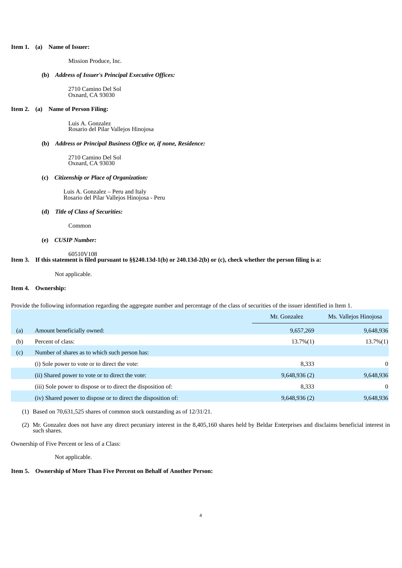#### **Item 1. (a) Name of Issuer:**

Mission Produce, Inc.

## **(b)** *Address of Issuer's Principal Executive Offices:*

2710 Camino Del Sol Oxnard, CA 93030

### **Item 2. (a) Name of Person Filing:**

Luis A. Gonzalez Rosario del Pilar Vallejos Hinojosa

## **(b)** *Address or Principal Business Office or, if none, Residence:*

2710 Camino Del Sol Oxnard, CA 93030

#### **(c)** *Citizenship or Place of Organization:*

Luis A. Gonzalez – Peru and Italy Rosario del Pilar Vallejos Hinojosa - Peru

### **(d)** *Title of Class of Securities:*

Common

### **(e)** *CUSIP Number:*

### 60510V108

## Item 3. If this statement is filed pursuant to §§240.13d-1(b) or 240.13d-2(b) or (c), check whether the person filing is a:

Not applicable.

## **Item 4. Ownership:**

Provide the following information regarding the aggregate number and percentage of the class of securities of the issuer identified in Item 1.

|     |                                                               | Mr. Gonzalez | Ms. Vallejos Hinojosa |
|-----|---------------------------------------------------------------|--------------|-----------------------|
| (a) | Amount beneficially owned:                                    | 9,657,269    | 9,648,936             |
| (b) | Percent of class:                                             | $13.7\%(1)$  | $13.7\%(1)$           |
| (c) | Number of shares as to which such person has:                 |              |                       |
|     | (i) Sole power to vote or to direct the vote:                 | 8,333        | 0                     |
|     | (ii) Shared power to vote or to direct the vote:              | 9,648,936(2) | 9,648,936             |
|     | (iii) Sole power to dispose or to direct the disposition of:  | 8,333        | 0                     |
|     | (iv) Shared power to dispose or to direct the disposition of: | 9,648,936(2) | 9,648,936             |
|     |                                                               |              |                       |

(1) Based on 70,631,525 shares of common stock outstanding as of 12/31/21.

(2) Mr. Gonzalez does not have any direct pecuniary interest in the 8,405,160 shares held by Beldar Enterprises and disclaims beneficial interest in such shares.

Ownership of Five Percent or less of a Class:

Not applicable.

## **Item 5. Ownership of More Than Five Percent on Behalf of Another Person:**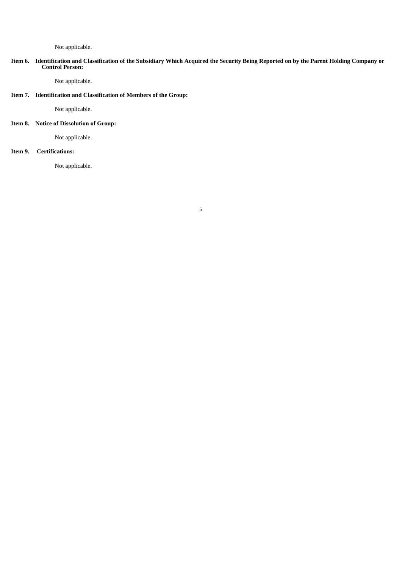### Not applicable.

#### Item 6. Identification and Classification of the Subsidiary Which Acquired the Security Being Reported on by the Parent Holding Company or **Control Person:**

5

Not applicable.

## **Item 7. Identification and Classification of Members of the Group:**

Not applicable.

## **Item 8. Notice of Dissolution of Group:**

Not applicable.

## **Item 9. Certifications:**

Not applicable.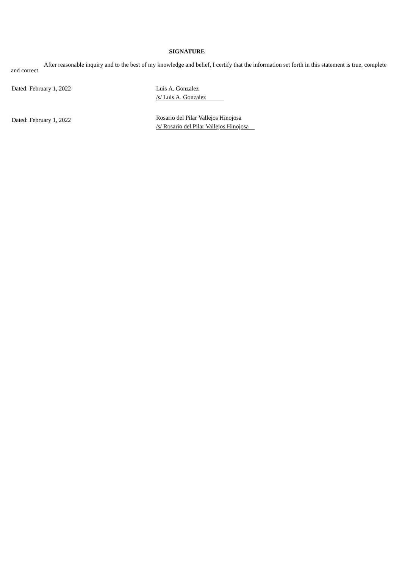## **SIGNATURE**

After reasonable inquiry and to the best of my knowledge and belief, I certify that the information set forth in this statement is true, complete and correct.

Dated: February 1, 2022

Luis A. Gonzalez /s/ Luis A. Gonzalez

Dated: February 1, 2022

Rosario del Pilar Vallejos Hinojosa /s/ Rosario del Pilar Vallejos Hinojosa